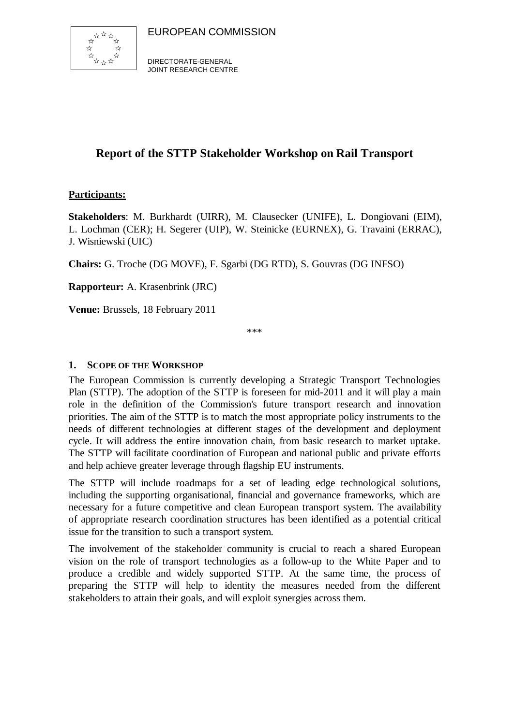

DIRECTORATE-GENERAL JOINT RESEARCH CENTRE

## **Report of the STTP Stakeholder Workshop on Rail Transport**

## **Participants:**

**Stakeholders**: M. Burkhardt (UIRR), M. Clausecker (UNIFE), L. Dongiovani (EIM), L. Lochman (CER); H. Segerer (UIP), W. Steinicke (EURNEX), G. Travaini (ERRAC), J. Wisniewski (UIC)

**Chairs:** G. Troche (DG MOVE), F. Sgarbi (DG RTD), S. Gouvras (DG INFSO)

**Rapporteur:** A. Krasenbrink (JRC)

**Venue:** Brussels, 18 February 2011

\*\*\*

## **1. SCOPE OF THE WORKSHOP**

The European Commission is currently developing a Strategic Transport Technologies Plan (STTP). The adoption of the STTP is foreseen for mid-2011 and it will play a main role in the definition of the Commission's future transport research and innovation priorities. The aim of the STTP is to match the most appropriate policy instruments to the needs of different technologies at different stages of the development and deployment cycle. It will address the entire innovation chain, from basic research to market uptake. The STTP will facilitate coordination of European and national public and private efforts and help achieve greater leverage through flagship EU instruments.

The STTP will include roadmaps for a set of leading edge technological solutions, including the supporting organisational, financial and governance frameworks, which are necessary for a future competitive and clean European transport system. The availability of appropriate research coordination structures has been identified as a potential critical issue for the transition to such a transport system.

The involvement of the stakeholder community is crucial to reach a shared European vision on the role of transport technologies as a follow-up to the White Paper and to produce a credible and widely supported STTP. At the same time, the process of preparing the STTP will help to identity the measures needed from the different stakeholders to attain their goals, and will exploit synergies across them.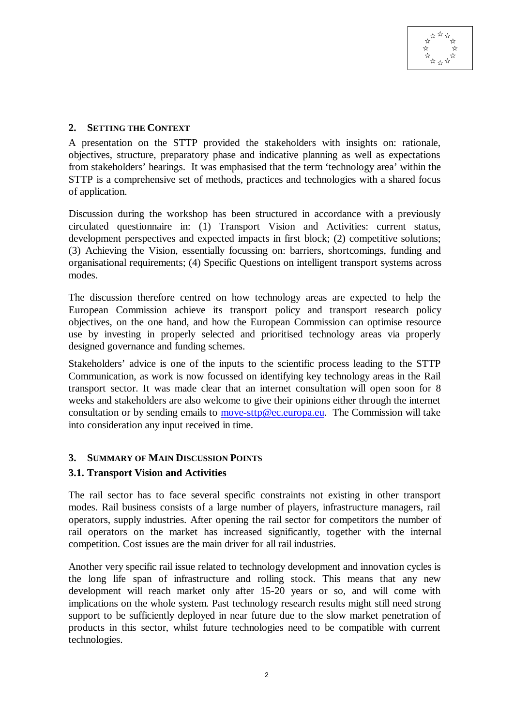### **2. SETTING THE CONTEXT**

A presentation on the STTP provided the stakeholders with insights on: rationale, objectives, structure, preparatory phase and indicative planning as well as expectations from stakeholders' hearings. It was emphasised that the term 'technology area' within the STTP is a comprehensive set of methods, practices and technologies with a shared focus of application.

Discussion during the workshop has been structured in accordance with a previously circulated questionnaire in: (1) Transport Vision and Activities: current status, development perspectives and expected impacts in first block; (2) competitive solutions; (3) Achieving the Vision, essentially focussing on: barriers, shortcomings, funding and organisational requirements; (4) Specific Questions on intelligent transport systems across modes.

The discussion therefore centred on how technology areas are expected to help the European Commission achieve its transport policy and transport research policy objectives, on the one hand, and how the European Commission can optimise resource use by investing in properly selected and prioritised technology areas via properly designed governance and funding schemes.

Stakeholders' advice is one of the inputs to the scientific process leading to the STTP Communication, as work is now focussed on identifying key technology areas in the Rail transport sector. It was made clear that an internet consultation will open soon for 8 weeks and stakeholders are also welcome to give their opinions either through the internet consultation or by sending emails to move-sttp@ec.europa.eu. The Commission will take into consideration any input received in time.

## **3. SUMMARY OF MAIN DISCUSSION POINTS**

## **3.1. Transport Vision and Activities**

The rail sector has to face several specific constraints not existing in other transport modes. Rail business consists of a large number of players, infrastructure managers, rail operators, supply industries. After opening the rail sector for competitors the number of rail operators on the market has increased significantly, together with the internal competition. Cost issues are the main driver for all rail industries.

Another very specific rail issue related to technology development and innovation cycles is the long life span of infrastructure and rolling stock. This means that any new development will reach market only after 15-20 years or so, and will come with implications on the whole system. Past technology research results might still need strong support to be sufficiently deployed in near future due to the slow market penetration of products in this sector, whilst future technologies need to be compatible with current technologies.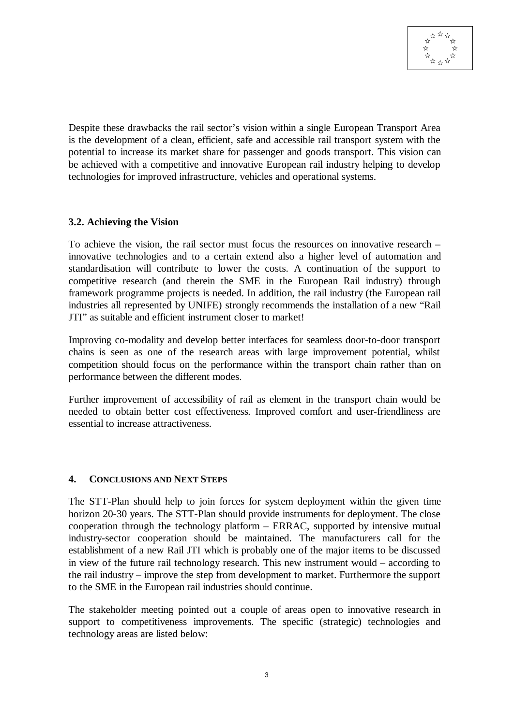Despite these drawbacks the rail sector's vision within a single European Transport Area is the development of a clean, efficient, safe and accessible rail transport system with the potential to increase its market share for passenger and goods transport. This vision can be achieved with a competitive and innovative European rail industry helping to develop technologies for improved infrastructure, vehicles and operational systems.

#### **3.2. Achieving the Vision**

To achieve the vision, the rail sector must focus the resources on innovative research – innovative technologies and to a certain extend also a higher level of automation and standardisation will contribute to lower the costs. A continuation of the support to competitive research (and therein the SME in the European Rail industry) through framework programme projects is needed. In addition, the rail industry (the European rail industries all represented by UNIFE) strongly recommends the installation of a new "Rail JTI" as suitable and efficient instrument closer to market!

Improving co-modality and develop better interfaces for seamless door-to-door transport chains is seen as one of the research areas with large improvement potential, whilst competition should focus on the performance within the transport chain rather than on performance between the different modes.

Further improvement of accessibility of rail as element in the transport chain would be needed to obtain better cost effectiveness. Improved comfort and user-friendliness are essential to increase attractiveness.

#### **4. CONCLUSIONS AND NEXT STEPS**

The STT-Plan should help to join forces for system deployment within the given time horizon 20-30 years. The STT-Plan should provide instruments for deployment. The close cooperation through the technology platform – ERRAC, supported by intensive mutual industry-sector cooperation should be maintained. The manufacturers call for the establishment of a new Rail JTI which is probably one of the major items to be discussed in view of the future rail technology research. This new instrument would – according to the rail industry – improve the step from development to market. Furthermore the support to the SME in the European rail industries should continue.

The stakeholder meeting pointed out a couple of areas open to innovative research in support to competitiveness improvements. The specific (strategic) technologies and technology areas are listed below: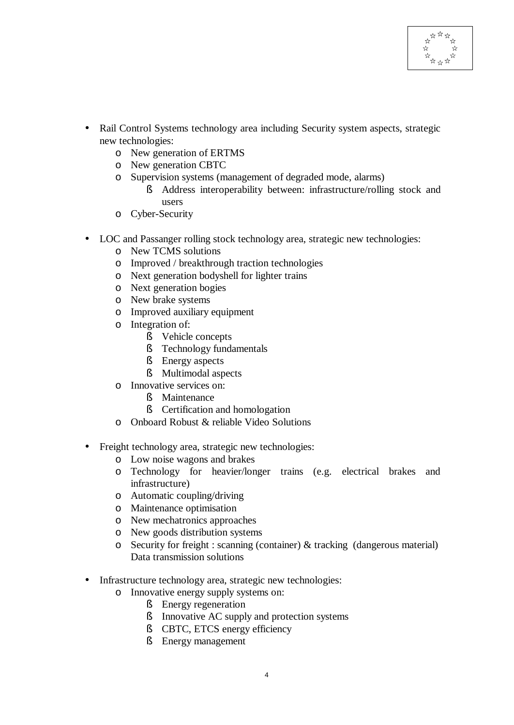- Rail Control Systems technology area including Security system aspects, strategic new technologies:
	- o New generation of ERTMS
	- o New generation CBTC
	- o Supervision systems (management of degraded mode, alarms)
		- § Address interoperability between: infrastructure/rolling stock and users
	- o Cyber-Security
- LOC and Passanger rolling stock technology area, strategic new technologies:
	- o New TCMS solutions
	- o Improved / breakthrough traction technologies
	- o Next generation bodyshell for lighter trains
	- o Next generation bogies
	- o New brake systems
	- o Improved auxiliary equipment
	- o Integration of:
		- § Vehicle concepts
		- § Technology fundamentals
		- § Energy aspects
		- § Multimodal aspects
	- o Innovative services on:
		- § Maintenance
		- § Certification and homologation
	- o Onboard Robust & reliable Video Solutions
- Freight technology area, strategic new technologies:
	- o Low noise wagons and brakes
	- o Technology for heavier/longer trains (e.g. electrical brakes and infrastructure)
	- o Automatic coupling/driving
	- o Maintenance optimisation
	- o New mechatronics approaches
	- o New goods distribution systems
	- o Security for freight : scanning (container) & tracking (dangerous material) Data transmission solutions
- Infrastructure technology area, strategic new technologies:
	- o Innovative energy supply systems on:
		- § Energy regeneration
		- § Innovative AC supply and protection systems
		- § CBTC, ETCS energy efficiency
		- § Energy management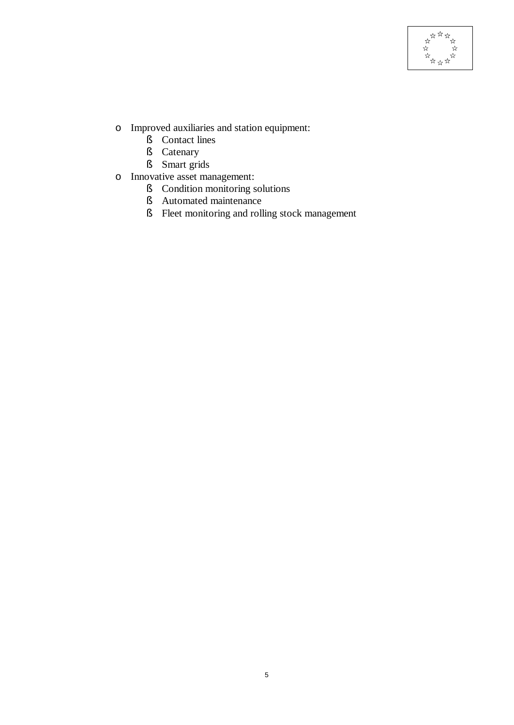

- o Improved auxiliaries and station equipment:
	- § Contact lines
	- § Catenary
	- § Smart grids
- o Innovative asset management:
	- § Condition monitoring solutions
	- § Automated maintenance
	- § Fleet monitoring and rolling stock management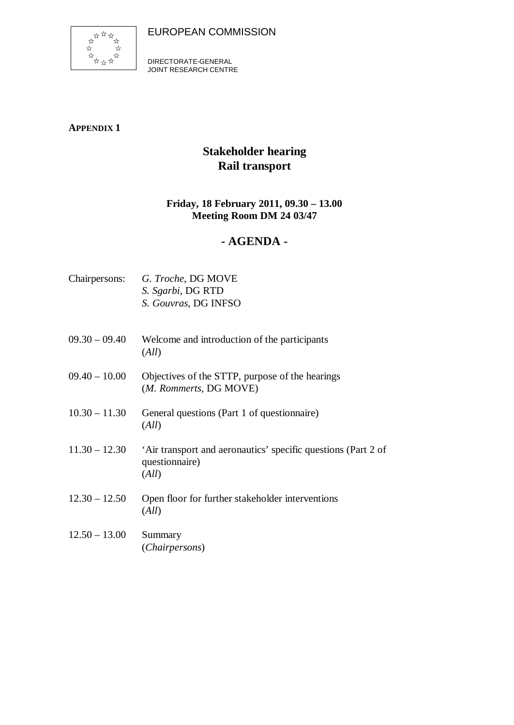EUROPEAN COMMISSION



DIRECTORATE-GENERAL JOINT RESEARCH CENTRE

**APPENDIX 1**

# **Stakeholder hearing Rail transport**

## **Friday, 18 February 2011, 09.30 – 13.00 Meeting Room DM 24 03/47**

## **- AGENDA -**

| Chairpersons:   | G. Troche, DG MOVE<br>S. Sgarbi, DG RTD<br>S. Gouvras, DG INFSO                          |
|-----------------|------------------------------------------------------------------------------------------|
| $09.30 - 09.40$ | Welcome and introduction of the participants<br>(All)                                    |
| $09.40 - 10.00$ | Objectives of the STTP, purpose of the hearings<br>(M. Rommerts, DG MOVE)                |
| $10.30 - 11.30$ | General questions (Part 1 of questionnaire)<br>(All)                                     |
| $11.30 - 12.30$ | 'Air transport and aeronautics' specific questions (Part 2 of<br>questionnaire)<br>(All) |
| $12.30 - 12.50$ | Open floor for further stakeholder interventions<br>(All)                                |
| $12.50 - 13.00$ | Summary<br>(Chairpersons)                                                                |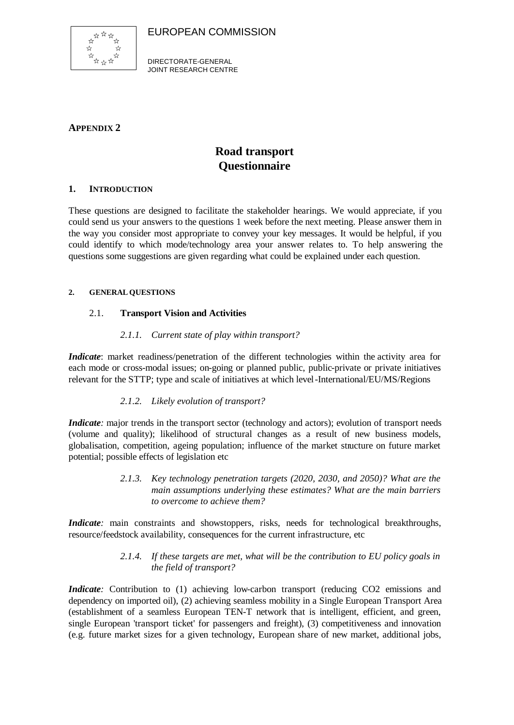EUROPEAN COMMISSION



DIRECTORATE-GENERAL JOINT RESEARCH CENTRE

## **APPENDIX 2**

# **Road transport Questionnaire**

#### **1. INTRODUCTION**

These questions are designed to facilitate the stakeholder hearings. We would appreciate, if you could send us your answers to the questions 1 week before the next meeting. Please answer them in the way you consider most appropriate to convey your key messages. It would be helpful, if you could identify to which mode/technology area your answer relates to. To help answering the questions some suggestions are given regarding what could be explained under each question.

#### **2. GENERAL QUESTIONS**

#### 2.1. **Transport Vision and Activities**

#### *2.1.1. Current state of play within transport?*

*Indicate*: market readiness/penetration of the different technologies within the activity area for each mode or cross-modal issues; on-going or planned public, public-private or private initiatives relevant for the STTP; type and scale of initiatives at which level -International/EU/MS/Regions

#### *2.1.2. Likely evolution of transport?*

*Indicate*: major trends in the transport sector (technology and actors); evolution of transport needs (volume and quality); likelihood of structural changes as a result of new business models, globalisation, competition, ageing population; influence of the market structure on future market potential; possible effects of legislation etc

> *2.1.3. Key technology penetration targets (2020, 2030, and 2050)? What are the main assumptions underlying these estimates? What are the main barriers to overcome to achieve them?*

*Indicate*: main constraints and showstoppers, risks, needs for technological breakthroughs, resource/feedstock availability, consequences for the current infrastructure, etc

#### *2.1.4. If these targets are met, what will be the contribution to EU policy goals in the field of transport?*

*Indicate*: Contribution to (1) achieving low-carbon transport (reducing CO2 emissions and dependency on imported oil), (2) achieving seamless mobility in a Single European Transport Area (establishment of a seamless European TEN-T network that is intelligent, efficient, and green, single European 'transport ticket' for passengers and freight), (3) competitiveness and innovation (e.g. future market sizes for a given technology, European share of new market, additional jobs,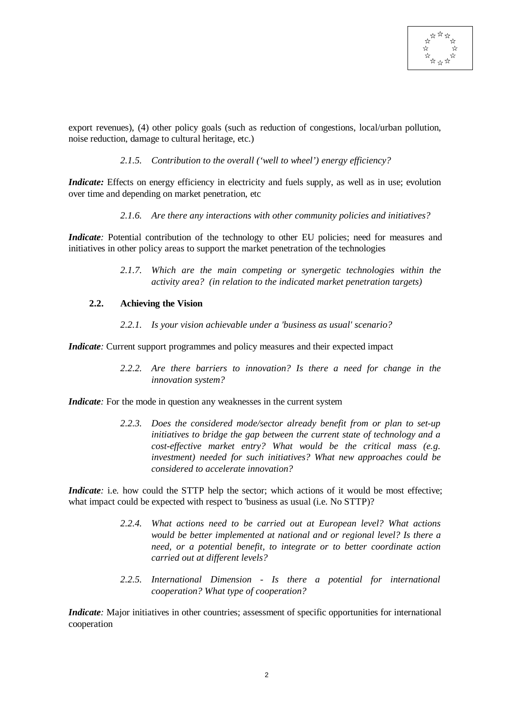

export revenues), (4) other policy goals (such as reduction of congestions, local/urban pollution, noise reduction, damage to cultural heritage, etc.)

#### *2.1.5. Contribution to the overall ('well to wheel') energy efficiency?*

*Indicate:* Effects on energy efficiency in electricity and fuels supply, as well as in use; evolution over time and depending on market penetration, etc

*2.1.6. Are there any interactions with other community policies and initiatives?*

*Indicate*: Potential contribution of the technology to other EU policies; need for measures and initiatives in other policy areas to support the market penetration of the technologies

> *2.1.7. Which are the main competing or synergetic technologies within the activity area? (in relation to the indicated market penetration targets)*

#### **2.2. Achieving the Vision**

*2.2.1. Is your vision achievable under a 'business as usual' scenario?*

*Indicate*: Current support programmes and policy measures and their expected impact

*2.2.2. Are there barriers to innovation? Is there a need for change in the innovation system?*

*Indicate*: For the mode in question any weaknesses in the current system

*2.2.3. Does the considered mode/sector already benefit from or plan to set-up initiatives to bridge the gap between the current state of technology and a cost-effective market entry? What would be the critical mass (e.g. investment) needed for such initiatives? What new approaches could be considered to accelerate innovation?*

*Indicate*: i.e. how could the STTP help the sector; which actions of it would be most effective; what impact could be expected with respect to 'business as usual (i.e. No STTP)?

- *2.2.4. What actions need to be carried out at European level? What actions would be better implemented at national and or regional level? Is there a need, or a potential benefit, to integrate or to better coordinate action carried out at different levels?*
- *2.2.5. International Dimension Is there a potential for international cooperation? What type of cooperation?*

*Indicate*: Major initiatives in other countries; assessment of specific opportunities for international cooperation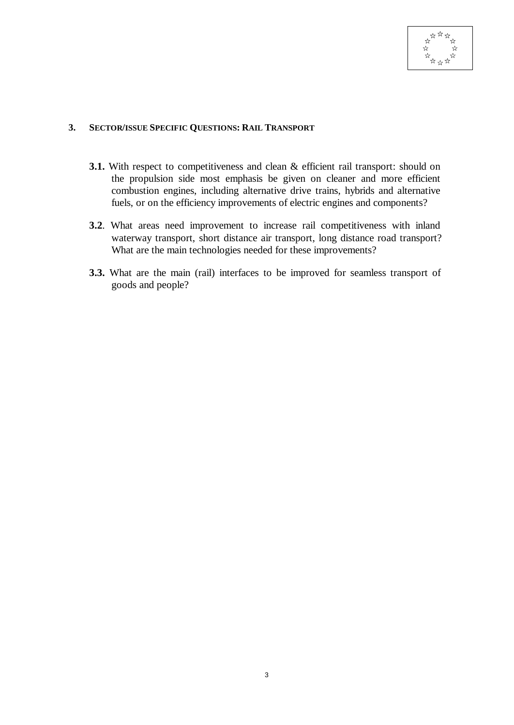

#### **3. SECTOR/ISSUE SPECIFIC QUESTIONS: RAIL TRANSPORT**

- **3.1.** With respect to competitiveness and clean & efficient rail transport: should on the propulsion side most emphasis be given on cleaner and more efficient combustion engines, including alternative drive trains, hybrids and alternative fuels, or on the efficiency improvements of electric engines and components?
- **3.2**. What areas need improvement to increase rail competitiveness with inland waterway transport, short distance air transport, long distance road transport? What are the main technologies needed for these improvements?
- **3.3.** What are the main (rail) interfaces to be improved for seamless transport of goods and people?